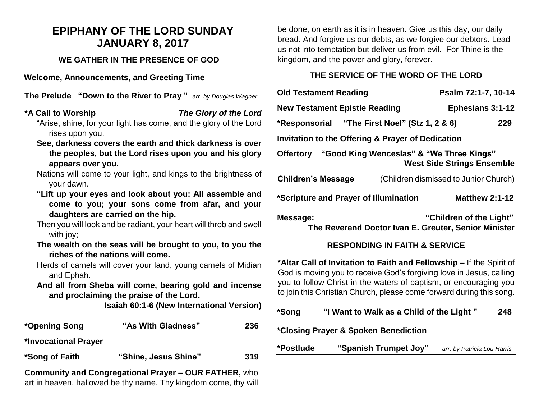# **EPIPHANY OF THE LORD SUNDAY JANUARY 8, 2017**

#### **WE GATHER IN THE PRESENCE OF GOD**

**Welcome, Announcements, and Greeting Time** 

**The Prelude "Down to the River to Pray "** *arr. by Douglas Wagner*

### **\*A Call to Worship** *The Glory of the Lord*

"Arise, shine, for your light has come, and the glory of the Lord rises upon you.

- **See, darkness covers the earth and thick darkness is over the peoples, but the Lord rises upon you and his glory appears over you.**
- Nations will come to your light, and kings to the brightness of your dawn.
- **"Lift up your eyes and look about you: All assemble and come to you; your sons come from afar, and your daughters are carried on the hip.**

Then you will look and be radiant, your heart will throb and swell with joy;

- **The wealth on the seas will be brought to you, to you the riches of the nations will come.**
- Herds of camels will cover your land, young camels of Midian and Ephah.

**And all from Sheba will come, bearing gold and incense and proclaiming the praise of the Lord.**

**Isaiah 60:1-6 (New International Version)**

| *Opening Song        | "As With Gladness"                                           | 236 |
|----------------------|--------------------------------------------------------------|-----|
| *Invocational Prayer |                                                              |     |
| *Song of Faith       | "Shine, Jesus Shine"                                         | 319 |
|                      | <b>Community and Congregational Prayer - OUR FATHER, who</b> |     |

art in heaven, hallowed be thy name. Thy kingdom come, thy will

be done, on earth as it is in heaven. Give us this day, our daily bread. And forgive us our debts, as we forgive our debtors. Lead us not into temptation but deliver us from evil. For Thine is the kingdom, and the power and glory, forever.

#### **THE SERVICE OF THE WORD OF THE LORD**

| <b>Old Testament Reading</b>                                                            |  | Psalm 72:1-7, 10-14                                                             |  |  |  |
|-----------------------------------------------------------------------------------------|--|---------------------------------------------------------------------------------|--|--|--|
| <b>New Testament Epistle Reading</b>                                                    |  | <b>Ephesians 3:1-12</b>                                                         |  |  |  |
| *Responsorial "The First Noel" (Stz 1, 2 & 6)                                           |  | 229                                                                             |  |  |  |
| Invitation to the Offering & Prayer of Dedication                                       |  |                                                                                 |  |  |  |
| Offertory "Good King Wenceslas" & "We Three Kings"<br><b>West Side Strings Ensemble</b> |  |                                                                                 |  |  |  |
| <b>Children's Message</b>                                                               |  | (Children dismissed to Junior Church)                                           |  |  |  |
| *Scripture and Prayer of Illumination                                                   |  | <b>Matthew 2:1-12</b>                                                           |  |  |  |
| Message:                                                                                |  | "Children of the Light"<br>The Reverend Doctor Ivan E. Greuter, Senior Minister |  |  |  |

## **RESPONDING IN FAITH & SERVICE**

**\*Altar Call of Invitation to Faith and Fellowship –** If the Spirit of God is moving you to receive God's forgiving love in Jesus, calling you to follow Christ in the waters of baptism, or encouraging you to join this Christian Church, please come forward during this song.

| *Song | "I Want to Walk as a Child of the Light" | 248 |
|-------|------------------------------------------|-----|
|       |                                          |     |

**\*Closing Prayer & Spoken Benediction**

**\*Postlude "Spanish Trumpet Joy"** *arr. by Patricia Lou Harris*